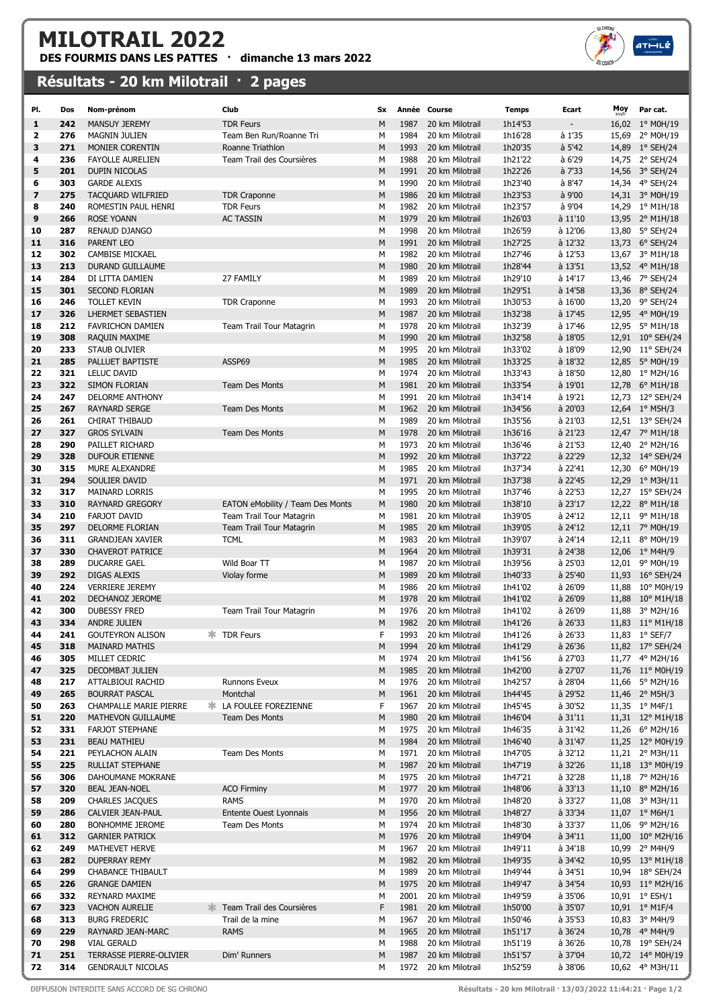## MILOTRAIL 2022

DES FOURMIS DANS LES PATTES · dimanche 13 mars 2022

## Résultats - 20 km Milotrail · 2 pages

| PI.      | Dos        | Nom-prénom                                    | Club                             | Sx        |              | Année Course                       | <b>Temps</b>       | Ecart                | Moy | Par cat.                            |
|----------|------------|-----------------------------------------------|----------------------------------|-----------|--------------|------------------------------------|--------------------|----------------------|-----|-------------------------------------|
| 1        | 242        | <b>MANSUY JEREMY</b>                          | <b>TDR Feurs</b>                 | M         | 1987         | 20 km Milotrail                    | 1h14'53            |                      |     | 16,02 1° M0H/19                     |
| 2        | 276        | MAGNIN JULIEN                                 | Team Ben Run/Roanne Tri          | М         | 1984         | 20 km Milotrail                    | 1h16'28            | à 1'35               |     | 15,69 2° M0H/19                     |
| З        | 271        | MONIER CORENTIN                               | Roanne Triathlon                 | M         | 1993         | 20 km Milotrail                    | 1h20'35            | $a$ 5'42             |     | 14,89 1° SEH/24                     |
| 4        | 236        | <b>FAYOLLE AURELIEN</b>                       | Team Trail des Coursières        | М         | 1988         | 20 km Milotrail                    | 1h21'22            | à 6'29               |     | 14,75 2° SEH/24                     |
| 5        | 201        | DUPIN NICOLAS                                 |                                  | М         | 1991         | 20 km Milotrail                    | 1h22'26            | à 7'33               |     | 14,56 3° SEH/24                     |
| 6        | 303        | <b>GARDE ALEXIS</b>                           |                                  | М         | 1990         | 20 km Milotrail                    | 1h23'40            | à 8'47               |     | 14,34 4° SEH/24                     |
| 7        | 275        | <b>TACQUARD WILFRIED</b>                      | <b>TDR Craponne</b>              | M         | 1986         | 20 km Milotrail                    | 1h23'53            | à 9'00               |     | 14,31 3° M0H/19                     |
| 8        | 240        | ROMESTIN PAUL HENRI                           | <b>TDR Feurs</b>                 | М         | 1982         | 20 km Milotrail                    | 1h23'57            | à 9'04               |     | 14,29 1° M1H/18                     |
| 9        | 266        | <b>ROSE YOANN</b>                             | <b>AC TASSIN</b>                 | M         | 1979         | 20 km Milotrail                    | 1h26'03            | à 11'10              |     | 13,95 2° M1H/18                     |
| 10       | 287        | RENAUD DJANGO                                 |                                  | M         | 1998         | 20 km Milotrail                    | 1h26'59            | à 12'06              |     | 13,80 5° SEH/24                     |
| 11       | 316        | PARENT LEO                                    |                                  | М         | 1991         | 20 km Milotrail                    | 1h27'25            | à 12'32              |     | 13,73 6° SEH/24                     |
| 12       | 302        | <b>CAMBISE MICKAEL</b>                        |                                  | М         | 1982         | 20 km Milotrail                    | 1h27'46            | à 12'53              |     | 13,67 3° M1H/18                     |
| 13       | 213        | DURAND GUILLAUME                              |                                  | M         | 1980         | 20 km Milotrail                    | 1h28'44            | à 13'51              |     | 13,52 4° M1H/18                     |
| 14       | 284        | DI LITTA DAMIEN                               | 27 FAMILY                        | М         | 1989         | 20 km Milotrail                    | 1h29'10            | à 14'17              |     | 13,46 7° SEH/24                     |
| 15       | 301        | <b>SECOND FLORIAN</b>                         |                                  | M         | 1989         | 20 km Milotrail                    | 1h29'51            | à 14'58              |     | 13,36 8° SEH/24                     |
| 16       | 246        | <b>TOLLET KEVIN</b>                           | <b>TDR Craponne</b>              | М         | 1993         | 20 km Milotrail                    | 1h30'53            | à 16'00              |     | 13,20 9° SEH/24                     |
| 17       | 326        | LHERMET SEBASTIEN                             |                                  | М         | 1987         | 20 km Milotrail                    | 1h32'38            | à 17'45              |     | 12,95 4° M0H/19                     |
| 18       | 212        | <b>FAVRICHON DAMIEN</b>                       | Team Trail Tour Matagrin         | М         | 1978<br>1990 | 20 km Milotrail                    | 1h32'39            | à 17'46              |     | 12,95 5° M1H/18                     |
| 19       | 308<br>233 | RAQUIN MAXIME<br>STAUB OLIVIER                |                                  | М         | 1995         | 20 km Milotrail<br>20 km Milotrail | 1h32'58<br>1h33'02 | à 18'05<br>à 18'09   |     | 12,91 10° SEH/24                    |
| 20<br>21 | 285        | PALLUET BAPTISTE                              | ASSP69                           | М<br>М    | 1985         | 20 km Milotrail                    | 1h33'25            | à 18'32              |     | 12,90 11° SEH/24<br>12,85 5° M0H/19 |
| 22       | 321        | <b>LELUC DAVID</b>                            |                                  | М         | 1974         | 20 km Milotrail                    | 1h33'43            | à 18'50              |     | 12,80 1° M2H/16                     |
| 23       | 322        | SIMON FLORIAN                                 | <b>Team Des Monts</b>            | М         | 1981         | 20 km Milotrail                    | 1h33'54            | à 19'01              |     | 12,78 6° M1H/18                     |
| 24       | 247        | DELORME ANTHONY                               |                                  | М         | 1991         | 20 km Milotrail                    | 1h34'14            | à 19'21              |     | 12,73 12° SEH/24                    |
| 25       | 267        | <b>RAYNARD SERGE</b>                          | <b>Team Des Monts</b>            | M         | 1962         | 20 km Milotrail                    | 1h34'56            | à 20'03              |     | 12,64 1° M5H/3                      |
| 26       | 261        | CHIRAT THIBAUD                                |                                  | М         | 1989         | 20 km Milotrail                    | 1h35'56            | à 21'03              |     | 12,51 13° SEH/24                    |
| 27       | 327        | <b>GROS SYLVAIN</b>                           | <b>Team Des Monts</b>            | М         | 1978         | 20 km Milotrail                    | 1h36'16            | à 21'23              |     | 12,47 7° M1H/18                     |
| 28       | 290        | PAILLET RICHARD                               |                                  | М         | 1973         | 20 km Milotrail                    | 1h36'46            | à 21'53              |     | 12,40 2° M2H/16                     |
| 29       | 328        | <b>DUFOUR ETIENNE</b>                         |                                  | M         | 1992         | 20 km Milotrail                    | 1h37'22            | à 22'29              |     | 12,32 14° SEH/24                    |
| 30       | 315        | MURE ALEXANDRE                                |                                  | М         | 1985         | 20 km Milotrail                    | 1h37'34            | à 22'41              |     | 12,30 6° M0H/19                     |
| 31       | 294        | SOULIER DAVID                                 |                                  | M         | 1971         | 20 km Milotrail                    | 1h37'38            | à 22'45              |     | 12,29 1° M3H/11                     |
| 32       | 317        | <b>MAINARD LORRIS</b>                         |                                  | М         | 1995         | 20 km Milotrail                    | 1h37'46            | à 22'53              |     | 12,27 15° SEH/24                    |
| 33       | 310        | <b>RAYNARD GREGORY</b>                        | EATON eMobility / Team Des Monts | M         | 1980         | 20 km Milotrail                    | 1h38'10            | à 23'17              |     | 12,22 8° M1H/18                     |
| 34       | 210        | <b>FARJOT DAVID</b>                           | Team Trail Tour Matagrin         | М         | 1981         | 20 km Milotrail                    | 1h39'05            | à 24'12              |     | 12,11 9° M1H/18                     |
| 35       | 297        | DELORME FLORIAN                               | Team Trail Tour Matagrin         | М         | 1985         | 20 km Milotrail                    | 1h39'05            | à 24'12              |     | 12,11 7° M0H/19                     |
| 36       | 311        | <b>GRANDJEAN XAVIER</b>                       | <b>TCML</b>                      | м         | 1983         | 20 km Milotrail                    | 1h39'07            | à 24'14              |     | 12,11 8° M0H/19                     |
| 37       | 330        | <b>CHAVEROT PATRICE</b>                       |                                  | М         | 1964         | 20 km Milotrail                    | 1h39'31            | à 24'38              |     | 12,06 1° M4H/9                      |
| 38       | 289        | <b>DUCARRE GAEL</b>                           | Wild Boar TT                     | М         | 1987         | 20 km Milotrail                    | 1h39'56            | à 25'03              |     | 12,01 9° M0H/19                     |
| 39       | 292        | <b>DIGAS ALEXIS</b>                           | Violay forme                     | M         | 1989         | 20 km Milotrail                    | 1h40'33            | à 25'40              |     | 11,93 16° SEH/24                    |
| 40       | 224        | <b>VERRIERE JEREMY</b>                        |                                  | М         | 1986         | 20 km Milotrail                    | 1h41'02            | à 26'09              |     | 11,88 10° M0H/19                    |
| 41       | 202        | DECHANOZ JEROME                               |                                  | M         | 1978         | 20 km Milotrail                    | 1h41'02            | à 26'09              |     | 11,88 10° M1H/18                    |
| 42       | 300        | <b>DUBESSY FRED</b>                           | Team Trail Tour Matagrin         | М         | 1976         | 20 km Milotrail                    | 1h41'02            | à 26'09              |     | 11,88 3° M2H/16                     |
| 43       | 334        | <b>ANDRE JULIEN</b>                           |                                  | M         | 1982         | 20 km Milotrail                    | 1h41'26            | à 26'33              |     | 11,83 11° M1H/18                    |
| 44       | 241        | <b>GOUTEYRON ALISON</b>                       | <b>*</b> TDR Feurs               | F         |              | 1993 20 km Milotrail               | 1h41'26            | à 26'33              |     | 11,83 1° SEF/7                      |
| 45       | 318<br>305 | <b>MAINARD MATHIS</b><br>MILLET CEDRIC        |                                  | M         | 1994<br>1974 | 20 km Milotrail<br>20 km Milotrail | 1h41'29            | $a$ 26'36<br>à 27'03 |     | 11,82 17° SEH/24                    |
| 46<br>47 | 325        | DECOMBAT JULIEN                               |                                  | М<br>M    | 1985         | 20 km Milotrail                    | 1h41'56<br>1h42'00 | à 27'07              |     | 11,77 4° M2H/16<br>11,76 11° M0H/19 |
| 48       | 217        | ATTALBIOUI RACHID                             | Runnons Eveux                    | м         | 1976         | 20 km Milotrail                    | 1h42'57            | à 28'04              |     | 11,66 5° M2H/16                     |
| 49       | 265        | <b>BOURRAT PASCAL</b>                         | Montchal                         | М         | 1961         | 20 km Milotrail                    | 1h44'45            | à 29'52              |     | 11,46 2° M5H/3                      |
| 50       | 263        | CHAMPALLE MARIE PIERRE                        | <b>* LA FOULEE FOREZIENNE</b>    | F         | 1967         | 20 km Milotrail                    | 1h45'45            | à 30'52              |     | 11,35 1° M4F/1                      |
| 51       | 220        | MATHEVON GUILLAUME                            | <b>Team Des Monts</b>            | М         | 1980         | 20 km Milotrail                    | 1h46'04            | à 31'11              |     | 11,31 12° M1H/18                    |
| 52       | 331        | <b>FARJOT STEPHANE</b>                        |                                  | M         | 1975         | 20 km Milotrail                    | 1h46'35            | à 31'42              |     | 11,26 6° M2H/16                     |
| 53       | 231        | <b>BEAU MATHIEU</b>                           |                                  | M         | 1984         | 20 km Milotrail                    | 1h46'40            | à 31'47              |     | 11,25 12° M0H/19                    |
| 54       | 221        | PEYLACHON ALAIN                               | <b>Team Des Monts</b>            | М         | 1971         | 20 km Milotrail                    | 1h47'05            | à 32'12              |     | 11,21 2° M3H/11                     |
| 55       | 225        | <b>RULLIAT STEPHANE</b>                       |                                  | М         | 1987         | 20 km Milotrail                    | 1h47'19            | à 32'26              |     | 11,18 13° M0H/19                    |
| 56       | 306        | DAHOUMANE MOKRANE                             |                                  | М         | 1975         | 20 km Milotrail                    | 1h47'21            | à 32'28              |     | 11,18 7° M2H/16                     |
| 57       | 320        | <b>BEAL JEAN-NOEL</b>                         | <b>ACO Firminy</b>               | М         | 1977         | 20 km Milotrail                    | 1h48'06            | à 33'13              |     | 11,10 8° M2H/16                     |
| 58       | 209        | <b>CHARLES JACQUES</b>                        | rams                             | М         | 1970         | 20 km Milotrail                    | 1h48'20            | à 33'27              |     | 11,08 3° M3H/11                     |
| 59       | 286        | CALVIER JEAN-PAUL                             | Entente Ouest Lyonnais           | ${\sf M}$ | 1956         | 20 km Milotrail                    | 1h48'27            | à 33'34              |     | 11,07 $1^{\circ}$ M6H/1             |
| 60       | 280        | BONHOMME JEROME                               | Team Des Monts                   | М         | 1974         | 20 km Milotrail                    | 1h48'30            | à 33'37              |     | 11,06 9° M2H/16                     |
| 61       | 312        | <b>GARNIER PATRICK</b>                        |                                  | М         | 1976         | 20 km Milotrail                    | 1h49'04            | à 34'11              |     | 11,00 10° M2H/16                    |
| 62       | 249        | MATHEVET HERVE                                |                                  | М         | 1967         | 20 km Milotrail                    | 1h49'11            | à 34'18              |     | 10,99 2° M4H/9                      |
| 63       | 282        | <b>DUPERRAY REMY</b>                          |                                  | M         | 1982         | 20 km Milotrail                    | 1h49'35            | à 34'42              |     | 10,95 13° M1H/18                    |
| 64       | 299        | <b>CHABANCE THIBAULT</b>                      |                                  | М         | 1989         | 20 km Milotrail                    | 1h49'44            | à 34'51              |     | 10,94 18° SEH/24                    |
| 65       | 226        | <b>GRANGE DAMIEN</b>                          |                                  | M         | 1975         | 20 km Milotrail                    | 1h49'47            | à 34'54              |     | 10,93 11° M2H/16                    |
| 66       | 332        | REYNARD MAXIME                                |                                  | М         | 2001         | 20 km Milotrail                    | 1h49'59            | à 35'06              |     | 10,91 1° ESH/1                      |
| 67       | 323        | <b>VACHON AURELIE</b>                         | Team Trail des Coursières        | F         | 1981         | 20 km Milotrail                    | 1h50'00            | à 35'07              |     | 10,91 1° M1F/4                      |
| 68       | 313        | <b>BURG FREDERIC</b>                          | Trail de la mine                 | М         | 1967         | 20 km Milotrail                    | 1h50'46            | à 35'53              |     | 10,83 3° M4H/9                      |
| 69       | 229        | RAYNARD JEAN-MARC                             | <b>RAMS</b>                      | M         | 1965         | 20 km Milotrail                    | 1h51'17            | à 36'24              |     | 10,78 4° M4H/9                      |
| 70<br>71 | 298<br>251 | <b>VIAL GERALD</b><br>TERRASSE PIERRE-OLIVIER | Dim' Runners                     | М<br>М    | 1988<br>1987 | 20 km Milotrail<br>20 km Milotrail | 1h51'19<br>1h51'57 | à 36'26<br>à 37'04   |     | 10,78 19° SEH/24                    |
| 72       | 314        | <b>GENDRAULT NICOLAS</b>                      |                                  | М         | 1972         | 20 km Milotrail                    | 1h52'59            | à 38'06              |     | 10,72 14° M0H/19<br>10,62 4° M3H/11 |
|          |            |                                               |                                  |           |              |                                    |                    |                      |     |                                     |

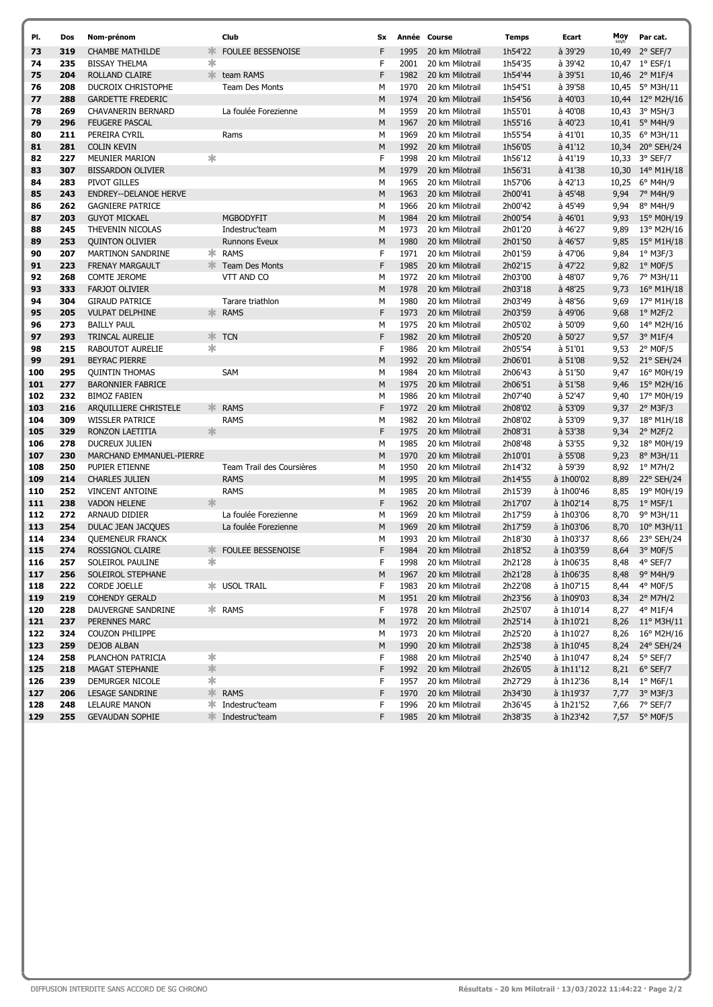| PI.        | Dos        | Nom-prénom                                |        | Club                       | Sx           |              | Année Course                       | Temps              | Ecart                | Moy          | Par cat.                        |
|------------|------------|-------------------------------------------|--------|----------------------------|--------------|--------------|------------------------------------|--------------------|----------------------|--------------|---------------------------------|
| 73         | 319        | <b>CHAMBE MATHILDE</b>                    | 氺      | <b>FOULEE BESSENOISE</b>   | F            | 1995         | 20 km Milotrail                    | 1h54'22            | à 39'29              |              | 10,49 2° SEF/7                  |
| 74         | 235        | <b>BISSAY THELMA</b>                      | ∗      |                            | F            | 2001         | 20 km Milotrail                    | 1h54'35            | à 39'42              |              | 10,47 1° ESF/1                  |
| 75         | 204        | ROLLAND CLAIRE                            |        | team RAMS                  | F            | 1982         | 20 km Milotrail                    | 1h54'44            | à 39'51              |              | 10,46 2° M1F/4                  |
| 76         | 208        | DUCROIX CHRISTOPHE                        |        | <b>Team Des Monts</b>      | M            | 1970         | 20 km Milotrail                    | 1h54'51            | à 39'58              |              | 10,45 5° M3H/11                 |
| 77         | 288        | <b>GARDETTE FREDERIC</b>                  |        |                            | M            | 1974         | 20 km Milotrail                    | 1h54'56            | à 40'03              |              | 10,44 12° M2H/16                |
| 78         | 269        | CHAVANERIN BERNARD                        |        | La foulée Forezienne       | М            | 1959         | 20 km Milotrail                    | 1h55'01            | à 40'08              |              | 10,43 3° M5H/3                  |
| 79         | 296        | <b>FEUGERE PASCAL</b>                     |        |                            | M            | 1967         | 20 km Milotrail                    | 1h55'16            | à 40'23              |              | 10,41 5° M4H/9                  |
| 80         | 211        | PEREIRA CYRIL                             |        | Rams                       | М            | 1969         | 20 km Milotrail                    | 1h55'54            | à 41'01              |              | 10,35 6° M3H/11                 |
| 81         | 281        | <b>COLIN KEVIN</b>                        |        |                            | M            | 1992         | 20 km Milotrail                    | 1h56'05            | à 41'12              |              | 10,34 20° SEH/24                |
| 82         | 227        | <b>MEUNIER MARION</b>                     | ∗      |                            | F            | 1998         | 20 km Milotrail                    | 1h56'12            | à 41'19              |              | 10,33 3° SEF/7                  |
| 83         | 307        | <b>BISSARDON OLIVIER</b>                  |        |                            | M            | 1979         | 20 km Milotrail                    | 1h56'31            | à 41'38              |              | 10,30 14° M1H/18                |
| 84         | 283        | PIVOT GILLES                              |        |                            | М            | 1965         | 20 km Milotrail                    | 1h57'06            | à 42'13              |              | 10,25 6° M4H/9                  |
| 85         | 243        | <b>ENDREY--DELANOE HERVE</b>              |        |                            | M            | 1963         | 20 km Milotrail                    | 2h00'41            | à 45'48              | 9,94         | 7° M4H/9                        |
| 86         | 262        | <b>GAGNIERE PATRICE</b>                   |        |                            | М            | 1966         | 20 km Milotrail                    | 2h00'42            | à 45'49              | 9,94         | 8° M4H/9                        |
| 87         | 203        | <b>GUYOT MICKAEL</b>                      |        | <b>MGBODYFIT</b>           | M            | 1984         | 20 km Milotrail                    | 2h00'54            | à 46'01              | 9,93         | 15° M0H/19                      |
| 88         | 245        | THEVENIN NICOLAS                          |        | Indestruc'team             | M            | 1973         | 20 km Milotrail                    | 2h01'20            | à 46'27              | 9,89         | 13° M2H/16                      |
| 89         | 253        | <b>QUINTON OLIVIER</b>                    |        | <b>Runnons Eveux</b>       | М            | 1980         | 20 km Milotrail                    | 2h01'50            | à 46'57              | 9,85         | $15^{\circ}$ M1H/18             |
| 90         | 207        | <b>MARTINON SANDRINE</b>                  | ж.     | <b>RAMS</b>                | F            | 1971         | 20 km Milotrail                    | 2h01'59            | à 47'06              | 9,84         | 1° M3F/3                        |
| 91         | 223        | <b>FRENAY MARGAULT</b>                    |        | <b>K</b> Team Des Monts    | F            | 1985         | 20 km Milotrail                    | 2h02'15            | à 47'22              |              | 9,82 1° MOF/5                   |
| 92         | 268        | <b>COMTE JEROME</b>                       |        | VTT AND CO                 | М            | 1972         | 20 km Milotrail                    | 2h03'00            | à 48'07              | 9,76         | 7° M3H/11                       |
| 93         | 333        | <b>FARJOT OLIVIER</b>                     |        |                            | M            | 1978         | 20 km Milotrail                    | 2h03'18            | à 48'25              | 9,73         | $16^{\circ}$ M1H/18             |
| 94         | 304        | <b>GIRAUD PATRICE</b>                     |        | Tarare triathlon           | М            | 1980         | 20 km Milotrail                    | 2h03'49            | à 48'56              | 9,69         | 17° M1H/18                      |
| 95         | 205        | <b>VULPAT DELPHINE</b>                    |        | <b>EXAMS</b>               | F            | 1973         | 20 km Milotrail                    | 2h03'59            | à 49'06              | 9,68         | $1^{\circ}$ M2F/2               |
| 96         | 273        | <b>BAILLY PAUL</b>                        |        |                            | М            | 1975         | 20 km Milotrail                    | 2h05'02            | à 50'09              | 9,60         | 14° M2H/16                      |
| 97         | 293        | TRINCAL AURELIE                           |        | $\ket*$ TCN                | F            | 1982         | 20 km Milotrail                    | 2h05'20            | à 50'27              | 9,57         | 3° M1F/4                        |
| 98         | 215        | <b>RABOUTOT AURELIE</b>                   | 氺      |                            | F            | 1986         | 20 km Milotrail                    | 2h05'54            | à 51'01              | 9,53         | $2^{\circ}$ MOF/5               |
| 99         | 291        | <b>BEYRAC PIERRE</b>                      |        |                            | M            | 1992         | 20 km Milotrail                    | 2h06'01            | à 51'08              | 9,52         | 21° SEH/24                      |
| 100        | 295        | <b>QUINTIN THOMAS</b>                     |        | SAM                        | М            | 1984         | 20 km Milotrail                    | 2h06'43            | à 51'50              | 9,47         | 16° M0H/19                      |
| 101        | 277        | <b>BARONNIER FABRICE</b>                  |        |                            | M            | 1975         | 20 km Milotrail                    | 2h06'51            | à 51'58              | 9,46         | $15^{\circ}$ M2H/16             |
| 102        | 232        | <b>BIMOZ FABIEN</b>                       |        |                            | М            | 1986         | 20 km Milotrail                    | 2h07'40            | à 52'47              | 9,40         | 17° M0H/19                      |
| 103        | 216        | ARQUILLIERE CHRISTELE                     | ≯া⊱    | <b>RAMS</b>                | F            | 1972<br>1982 | 20 km Milotrail                    | 2h08'02            | à 53'09              | 9,37         | $2^{\circ}$ M3F/3               |
| 104<br>105 | 309<br>329 | <b>WISSLER PATRICE</b><br>RONZON LAETITIA | 氺      | <b>RAMS</b>                | М<br>F       | 1975         | 20 km Milotrail<br>20 km Milotrail | 2h08'02<br>2h08'31 | à 53'09<br>$a$ 53'38 | 9,37<br>9,34 | 18° M1H/18<br>$2^{\circ}$ M2F/2 |
| 106        | 278        | DUCREUX JULIEN                            |        |                            | М            | 1985         | 20 km Milotrail                    | 2h08'48            | à 53'55              | 9,32         | 18° M0H/19                      |
| 107        | 230        | MARCHAND EMMANUEL-PIERRE                  |        |                            | M            | 1970         | 20 km Milotrail                    | 2h10'01            | à 55'08              | 9,23         | 8° M3H/11                       |
| 108        | 250        | PUPIER ETIENNE                            |        | Team Trail des Coursières  | М            | 1950         | 20 km Milotrail                    | 2h14'32            | à 59'39              | 8,92         | 1° M7H/2                        |
| 109        | 214        | <b>CHARLES JULIEN</b>                     |        | <b>RAMS</b>                | M            | 1995         | 20 km Milotrail                    | 2h14'55            | à 1h00'02            | 8,89         | 22° SEH/24                      |
| 110        | 252        | <b>VINCENT ANTOINE</b>                    |        | <b>RAMS</b>                | М            | 1985         | 20 km Milotrail                    | 2h15'39            | à 1h00'46            | 8,85         | 19° M0H/19                      |
| 111        | 238        | <b>VADON HELENE</b>                       | 氺      |                            | $\mathsf{F}$ | 1962         | 20 km Milotrail                    | 2h17'07            | à 1h02'14            | 8,75         | $1^{\circ}$ M5F/1               |
| 112        | 272        | ARNAUD DIDIER                             |        | La foulée Forezienne       | М            | 1969         | 20 km Milotrail                    | 2h17'59            | à 1h03'06            | 8,70         | 9° M3H/11                       |
| 113        | 254        | DULAC JEAN JACQUES                        |        | La foulée Forezienne       | M            | 1969         | 20 km Milotrail                    | 2h17'59            | à 1h03'06            | 8,70         | $10^{\circ}$ M3H/11             |
| 114        | 234        | <b>QUEMENEUR FRANCK</b>                   |        |                            | M            | 1993         | 20 km Milotrail                    | 2h18'30            | à 1h03'37            | 8,66         | 23° SEH/24                      |
| 115        | 274        | ROSSIGNOL CLAIRE                          |        | <b>* FOULEE BESSENOISE</b> | F            | 1984         | 20 km Milotrail                    | 2h18'52            | à 1h03'59            |              | 8,64 3° MOF/5                   |
| 116        | 257        | SOLEIROL PAULINE                          | ∗.     |                            | F            |              | 1998 20 km Milotrail               | 2h21'28            | à 1h06'35            |              | 8,48 4° SEF/7                   |
| 117        | 256        | SOLEIROL STEPHANE                         |        |                            | M            | 1967         | 20 km Milotrail                    | 2h21'28            | à 1h06'35            |              | 8,48 9° M4H/9                   |
| 118        | 222        | CORDE JOELLE                              |        | <b>* USOL TRAIL</b>        | F            | 1983         | 20 km Milotrail                    | 2h22'08            | à 1h07'15            | 8,44         | 4° M0F/5                        |
| 119        | 219        | <b>COHENDY GERALD</b>                     |        |                            | M            | 1951         | 20 km Milotrail                    | 2h23'56            | à 1h09'03            |              | 8,34 2° M7H/2                   |
| 120        | 228        | DAUVERGNE SANDRINE                        |        | * RAMS                     | F            | 1978         | 20 km Milotrail                    | 2h25'07            | à 1h10'14            | 8,27         | 4° M1F/4                        |
| 121        | 237        | PERENNES MARC                             |        |                            | M            | 1972         | 20 km Milotrail                    | 2h25'14            | à 1h10'21            |              | 8,26 11° M3H/11                 |
| 122        | 324        | <b>COUZON PHILIPPE</b>                    |        |                            | М            | 1973         | 20 km Milotrail                    | 2h25'20            | à 1h10'27            |              | 8,26 16° M2H/16                 |
| 123        | 259        | DEJOB ALBAN                               |        |                            | M            | 1990         | 20 km Milotrail                    | 2h25'38            | à 1h10'45            |              | 8,24 24° SEH/24                 |
| 124        | 258        | PLANCHON PATRICIA                         | ∗      |                            | F            | 1988         | 20 km Milotrail                    | 2h25'40            | à 1h10'47            |              | 8,24 5° SEF/7                   |
| 125        | 218        | MAGAT STEPHANIE                           | $\ast$ |                            | F            | 1992         | 20 km Milotrail                    | 2h26'05            | à 1h11'12            |              | 8,21 6° SEF/7                   |
| 126        | 239        | DEMURGER NICOLE                           | ∗      |                            | F            | 1957         | 20 km Milotrail                    | 2h27'29            | à 1h12'36            |              | $8,14$ 1° M6F/1                 |
| 127        | 206        | <b>LESAGE SANDRINE</b>                    |        | <b>EXAMS</b>               | F            | 1970         | 20 km Milotrail                    | 2h34'30            | à 1h19'37            |              | 7,77 3° M3F/3                   |
| 128        | 248        | LELAURE MANON                             |        | <b>*</b> Indestruc'team    | F            | 1996         | 20 km Milotrail                    | 2h36'45            | à 1h21'52            |              | 7,66 7° SEF/7                   |
| 129        | 255        | <b>GEVAUDAN SOPHIE</b>                    |        | <b>☀ Indestruc'team</b>    | F            |              | 1985 20 km Milotrail               | 2h38'35            | à 1h23'42            |              | 7,57 5° MOF/5                   |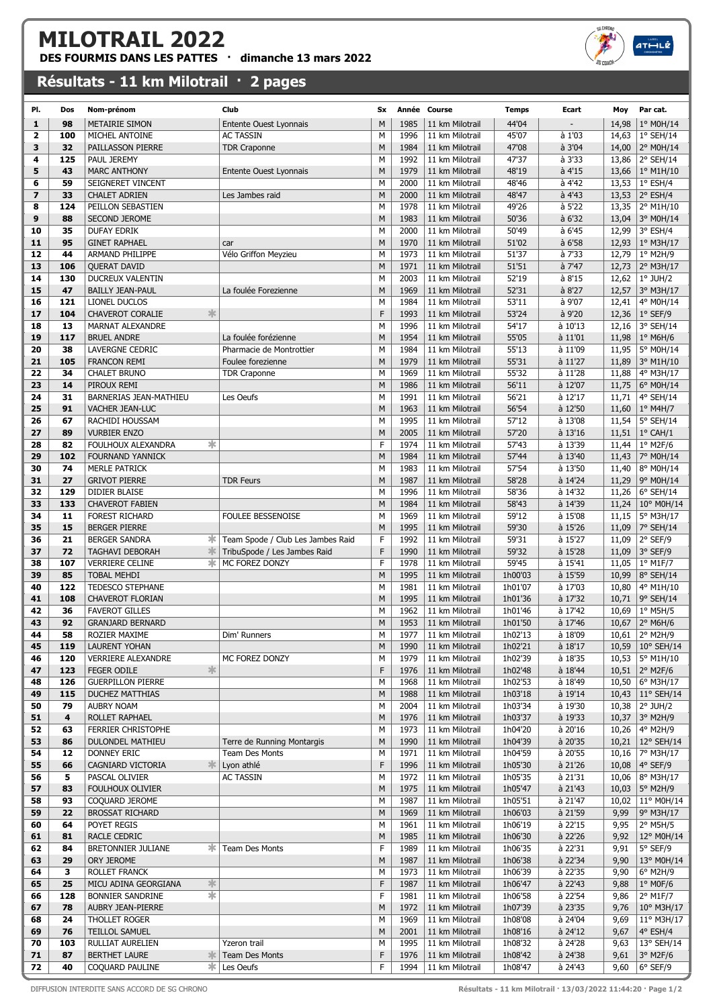## MILOTRAIL 2022

DES FOURMIS DANS LES PATTES  $\cdot$  dimanche 13 mars 2022

## Résultats - 11 km Milotrail · 2 pages

| PI.            | Dos | Nom-prénom                   | Club                              | Sx             |      | Année Course    | <b>Temps</b> | Ecart          | Moy   | Par cat.                    |
|----------------|-----|------------------------------|-----------------------------------|----------------|------|-----------------|--------------|----------------|-------|-----------------------------|
| $\mathbf{1}$   | 98  | <b>METAIRIE SIMON</b>        | Entente Ouest Lyonnais            | M              | 1985 | 11 km Milotrail | 44'04        |                | 14,98 | 1° M0H/14                   |
| 2              | 100 | MICHEL ANTOINE               | <b>AC TASSIN</b>                  | M              | 1996 | 11 km Milotrail | 45'07        | à 1'03         | 14,63 | 1° SEH/14                   |
| 3              | 32  | PAILLASSON PIERRE            | <b>TDR Craponne</b>               | M              | 1984 | 11 km Milotrail | 47'08        | à 3'04         | 14,00 | 2° M0H/14                   |
| 4              | 125 | PAUL JEREMY                  |                                   | М              | 1992 | 11 km Milotrail | 47'37        | à 3'33         | 13,86 | 2° SEH/14                   |
| 5              | 43  | <b>MARC ANTHONY</b>          | <b>Entente Ouest Lyonnais</b>     | M              | 1979 | 11 km Milotrail | 48'19        | à 4'15         |       | 13,66   $1^{\circ}$ M1H/10  |
| 6              | 59  | SEIGNERET VINCENT            |                                   | M              | 2000 | 11 km Milotrail | 48'46        | à 4'42         | 13,53 | $1°$ ESH/4                  |
| $\overline{z}$ | 33  | <b>CHALET ADRIEN</b>         | Les Jambes raid                   | M              | 2000 | 11 km Milotrail | 48'47        | $\dot{a}$ 4'43 | 13,53 | $2°$ ESH/4                  |
| 8              | 124 | PEILLON SEBASTIEN            |                                   | M              | 1978 | 11 km Milotrail | 49'26        | à 5'22         | 13,35 | 2° M1H/10                   |
| 9              | 88  | SECOND JEROME                |                                   | M              | 1983 | 11 km Milotrail | 50'36        | $a$ 6'32       |       | 13,04 3° M0H/14             |
| 10             | 35  | <b>DUFAY EDRIK</b>           |                                   | М              | 2000 | 11 km Milotrail | 50'49        | à 6'45         | 12,99 | 3° ESH/4                    |
| 11             | 95  | <b>GINET RAPHAEL</b>         | car                               | M              | 1970 | 11 km Milotrail | 51'02        | $a$ 6'58       | 12,93 | $1°$ M3H/17                 |
| 12             | 44  | ARMAND PHILIPPE              | Vélo Griffon Meyzieu              | М              | 1973 | 11 km Milotrail | 51'37        | à 7'33         | 12,79 | 1° M2H/9                    |
|                | 106 |                              |                                   | M              | 1971 | 11 km Milotrail |              | à 7'47         |       |                             |
| 13             |     | QUERAT DAVID                 |                                   |                |      |                 | 51'51        |                | 12,73 | 2° M3H/17                   |
| 14             | 130 | <b>DUCREUX VALENTIN</b>      |                                   | M              | 2003 | 11 km Milotrail | 52'19        | a8'15          | 12,62 | $1°$ JUH/2                  |
| 15             | 47  | <b>BAILLY JEAN-PAUL</b>      | La foulée Forezienne              | M              | 1969 | 11 km Milotrail | 52'31        | a 8'27         | 12,57 | 3° M3H/17                   |
| 16             | 121 | LIONEL DUCLOS                |                                   | M              | 1984 | 11 km Milotrail | 53'11        | à 9'07         | 12,41 | 4° M0H/14                   |
| 17             | 104 | 氺<br><b>CHAVEROT CORALIE</b> |                                   | F              | 1993 | 11 km Milotrail | 53'24        | à 9'20         | 12,36 | $1°$ SEF/9                  |
| 18             | 13  | MARNAT ALEXANDRE             |                                   | M              | 1996 | 11 km Milotrail | 54'17        | à 10'13        | 12,16 | 3° SEH/14                   |
| 19             | 117 | <b>BRUEL ANDRE</b>           | La foulée forézienne              | M              | 1954 | 11 km Milotrail | 55'05        | à 11'01        | 11,98 | $1°$ M6H/6                  |
| 20             | 38  | LAVERGNE CEDRIC              | Pharmacie de Montrottier          | М              | 1984 | 11 km Milotrail | 55'13        | à 11'09        |       | 11,95 5° M0H/14             |
| 21             | 105 | <b>FRANCON REMI</b>          | Foulee forezienne                 | M              | 1979 | 11 km Milotrail | 55'31        | à 11'27        | 11,89 | $ 3^{\circ}$ M1H/10         |
| 22             | 34  | <b>CHALET BRUNO</b>          | <b>TDR Craponne</b>               | M              | 1969 | 11 km Milotrail | 55'32        | à 11'28        | 11,88 | 4° M3H/17                   |
| 23             | 14  | PIROUX REMI                  |                                   | M              | 1986 | 11 km Milotrail | 56'11        | à 12'07        | 11,75 | 6° M0H/14                   |
| 24             | 31  | BARNERIAS JEAN-MATHIEU       | Les Oeufs                         | M              | 1991 | 11 km Milotrail | 56'21        | à 12'17        | 11,71 | 4° SEH/14                   |
| 25             | 91  | <b>VACHER JEAN-LUC</b>       |                                   | M              | 1963 | 11 km Milotrail | 56'54        | à 12'50        | 11,60 | $1^\circ$ M4H/7             |
| 26             | 67  | RACHIDI HOUSSAM              |                                   | М              | 1995 | 11 km Milotrail | 57'12        | à 13'08        |       | 11,54   5° SEH/14           |
| 27             | 89  | <b>VURBIER ENZO</b>          |                                   | M              | 2005 | 11 km Milotrail | 57'20        | à 13'16        | 11,51 | $1^{\circ}$ CAH/1           |
| 28             | 82  | ∗<br>FOULHOUX ALEXANDRA      |                                   | $\overline{F}$ | 1974 | 11 km Milotrail | 57'43        | à 13'39        | 11,44 | $1°$ M2F/6                  |
| 29             | 102 | <b>FOURNAND YANNICK</b>      |                                   | M              | 1984 | 11 km Milotrail | 57'44        | à 13'40        |       | 11,43   $7^{\circ}$ M0H/14  |
| 30             | 74  | <b>MERLE PATRICK</b>         |                                   | M              | 1983 | 11 km Milotrail | 57'54        | à 13'50        | 11,40 | 8° M0H/14                   |
| 31             | 27  | <b>GRIVOT PIERRE</b>         | <b>TDR Feurs</b>                  | M              | 1987 | 11 km Milotrail | 58'28        | à 14'24        |       | 11,29   9° M0H/14           |
| 32             | 129 | <b>DIDIER BLAISE</b>         |                                   | М              | 1996 | 11 km Milotrail | 58'36        | à 14'32        | 11,26 | $6°$ SEH/14                 |
| 33             | 133 | <b>CHAVEROT FABIEN</b>       |                                   | M              | 1984 | 11 km Milotrail | 58'43        | à 14'39        |       | 11,24   10 $\degree$ M0H/14 |
| 34             | 11  | FOREST RICHARD               | <b>FOULEE BESSENOISE</b>          | M              | 1969 | 11 km Milotrail | 59'12        | à 15'08        |       | 11,15   $5^{\circ}$ M3H/17  |
| 35             | 15  | <b>BERGER PIERRE</b>         |                                   | M              | 1995 | 11 km Milotrail | 59'30        | à 15'26        |       | 11,09 7° SEH/14             |
| 36             | 21  | <b>BERGER SANDRA</b><br>∗    | Team Spode / Club Les Jambes Raid | F              | 1992 | 11 km Milotrail | 59'31        | à 15'27        | 11,09 | $2°$ SEF/9                  |
| 37             | 72  | 氺<br>TAGHAVI DEBORAH         | TribuSpode / Les Jambes Raid      | $\mathsf F$    | 1990 | 11 km Milotrail | 59'32        | à 15'28        | 11,09 | $ 3^{\circ}$ SEF/9          |
| 38             | 107 | ∗<br><b>VERRIERE CELINE</b>  | MC FOREZ DONZY                    | E              | 1978 | 11 km Milotrail | 59'45        | à 15'41        | 11,05 | $1°$ M1F/7                  |
| 39             | 85  | <b>TOBAL MEHDI</b>           |                                   | M              | 1995 | 11 km Milotrail | 1h00'03      | à 15'59        | 10,99 | 8° SEH/14                   |
| 40             | 122 | TEDESCO STEPHANE             |                                   | M              | 1981 | 11 km Milotrail | 1h01'07      | à 17'03        | 10,80 | 4° M1H/10                   |
| 41             | 108 | <b>CHAVEROT FLORIAN</b>      |                                   | M              | 1995 | 11 km Milotrail | 1h01'36      | à 17'32        | 10,71 | 9° SEH/14                   |
| 42             | 36  | <b>FAVEROT GILLES</b>        |                                   | M              | 1962 | 11 km Milotrail | 1h01'46      | à 17'42        | 10,69 | $1°$ M5H/5                  |
| 43             | 92  | <b>GRANJARD BERNARD</b>      |                                   | M              | 1953 | 11 km Milotrail | 1h01'50      | à 17'46        | 10,67 | 2° M6H/6                    |
| 44             | 58  | ROZIER MAXIME                | Dim' Runners                      | M              | 1977 | 11 km Milotrail | 1h02'13      | à 18'09        |       | 10,61 2° M2H/9              |
| 45             | 119 | <b>LAURENT YOHAN</b>         |                                   | M              | 1990 | 11 km Milotrail | 1h02'21      | à 18'17        |       | 10,59   10° SEH/14          |
| 46             | 120 | <b>VERRIERE ALEXANDRE</b>    | MC FOREZ DONZY                    | М              | 1979 | 11 km Milotrail | 1h02'39      | à 18'35        |       | 10,53   5° M1H/10           |
| 47             | 123 | 氺<br><b>FEGER ODILE</b>      |                                   | $\mathsf{F}$   | 1976 | 11 km Milotrail | 1h02'48      | à 18'44        |       | 10,51   $2^{\circ}$ M2F/6   |
| 48             | 126 | <b>GUERPILLON PIERRE</b>     |                                   | М              | 1968 | 11 km Milotrail | 1h02'53      | à 18'49        | 10,50 | 6° M3H/17                   |
| 49             | 115 | <b>DUCHEZ MATTHIAS</b>       |                                   | M              | 1988 | 11 km Milotrail | 1h03'18      | à 19'14        | 10,43 | 11° SEH/14                  |
| 50             | 79  | AUBRY NOAM                   |                                   | М              | 2004 | 11 km Milotrail | 1h03'34      | à 19'30        |       | 10,38 2° JUH/2              |
| 51             | 4   | ROLLET RAPHAEL               |                                   | M              | 1976 | 11 km Milotrail | 1h03'37      | à 19'33        | 10,37 | 3° M2H/9                    |
| 52             | 63  | <b>FERRIER CHRISTOPHE</b>    |                                   | М              | 1973 | 11 km Milotrail | 1h04'20      | à 20'16        | 10,26 | 4° M2H/9                    |
| 53             | 86  | DULONDEL MATHIEU             | Terre de Running Montargis        | M              | 1990 | 11 km Milotrail | 1h04'39      | à 20'35        |       | 10,21 12° SEH/14            |
| 54             | 12  | DONNEY ERIC                  | Team Des Monts                    | М              | 1971 | 11 km Milotrail | 1h04'59      | à 20'55        |       | 10,16   $7^{\circ}$ M3H/17  |
| 55             | 66  | CAGNIARD VICTORIA<br>氺       | Lyon athlé                        | $\mathsf F$    | 1996 | 11 km Milotrail | 1h05'30      | à 21'26        |       | 10,08 4° SEF/9              |
| 56             | 5   | PASCAL OLIVIER               | <b>AC TASSIN</b>                  | М              | 1972 | 11 km Milotrail | 1h05'35      | à 21'31        | 10,06 | 8° M3H/17                   |
| 57             | 83  | FOULHOUX OLIVIER             |                                   | M              | 1975 | 11 km Milotrail | 1h05'47      | à 21'43        | 10,03 | 5° M2H/9                    |
| 58             | 93  | COQUARD JEROME               |                                   | М              | 1987 | 11 km Milotrail | 1h05'51      | à 21'47        |       | 10,02   11° M0H/14          |
| 59             | 22  | <b>BROSSAT RICHARD</b>       |                                   | M              | 1969 | 11 km Milotrail | 1h06'03      | à 21'59        | 9,99  | 9° M3H/17                   |
| 60             | 64  | POYET REGIS                  |                                   | M              | 1961 | 11 km Milotrail | 1h06'19      | à 22'15        | 9,95  | $2^{\circ}$ M5H/5           |
| 61             | 81  | RACLE CEDRIC                 |                                   | М              | 1985 | 11 km Milotrail | 1h06'30      | à 22'26        | 9,92  | 12° M0H/14                  |
| 62             | 84  | BRETONNIER JULIANE<br>ж.     | <b>Team Des Monts</b>             | F              | 1989 | 11 km Milotrail | 1h06'35      | à 22'31        | 9,91  | $5^\circ$ SEF/9             |
| 63             |     |                              |                                   |                |      |                 |              |                |       |                             |
|                | 29  | ORY JEROME                   |                                   | M              | 1987 | 11 km Milotrail | 1h06'38      | à 22'34        | 9,90  | 13° M0H/14                  |
| 64             | 3   | ROLLET FRANCK                |                                   | M              | 1973 | 11 km Milotrail | 1h06'39      | à 22'35        | 9,90  | 6° M2H/9                    |
| 65             | 25  | MICU ADINA GEORGIANA<br>∗    |                                   | $\mathsf{F}$   | 1987 | 11 km Milotrail | 1h06'47      | à 22'43        | 9,88  | $1°$ MOF/6                  |
| 66             | 128 | ☀<br>BONNIER SANDRINE        |                                   | F              | 1981 | 11 km Milotrail | 1h06'58      | à 22'54        | 9,86  | $2^{\circ}$ M1F/7           |
| 67             | 78  | AUBRY JEAN-PIERRE            |                                   | М              | 1972 | 11 km Milotrail | 1h07'39      | à 23'35        | 9,76  | 10° M3H/17                  |
| 68             | 24  | THOLLET ROGER                |                                   | М              | 1969 | 11 km Milotrail | 1h08'08      | à 24'04        | 9,69  | $11^{\circ}$ M3H/17         |
| 69             | 76  | TEILLOL SAMUEL               |                                   | M              | 2001 | 11 km Milotrail | 1h08'16      | à 24'12        | 9,67  | 4° ESH/4                    |
| 70             | 103 | RULLIAT AURELIEN             | Yzeron trail                      | М              | 1995 | 11 km Milotrail | 1h08'32      | à 24'28        | 9,63  | 13° SEH/14                  |
| 71             | 87  | <b>BERTHET LAURE</b><br>∗    | Team Des Monts                    | F              | 1976 | 11 km Milotrail | 1h08'42      | à 24'38        | 9,61  | 3° M2F/6                    |
| 72             | 40  | COQUARD PAULINE<br>∗⊧        | Les Oeufs                         | F              | 1994 | 11 km Milotrail | 1h08'47      | à 24'43        | 9,60  | $6°$ SEF/9                  |

DIFFUSION INTERDITE SANS ACCORD DE SG CHRONO Résultats - 11 km Milotrail · 13/03/2022 11:44:20 · Page 1/2